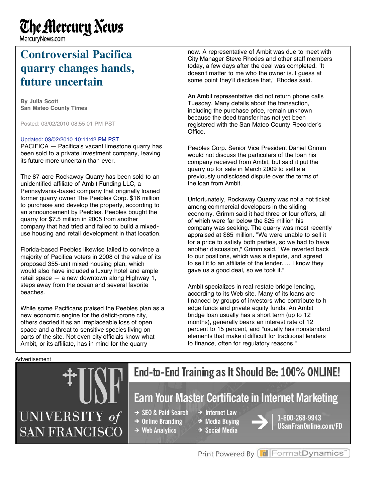# **The Alercury News**

MercuryNews.com

### **Controversial Pacifica quarry changes hands, future uncertain**

**By Julia Scott San Mateo County Times**

Posted: 03/02/2010 08:55:01 PM PST

#### Updated: 03/02/2010 10:11:42 PM PST

PACIFICA — Pacifica's vacant limestone quarry has been sold to a private investment company, leaving its future more uncertain than ever.

The 87-acre Rockaway Quarry has been sold to an unidentified affiliate of Ambit Funding LLC, a Pennsylvania-based company that originally loaned former quarry owner The Peebles Corp. \$16 million to purchase and develop the property, according to an announcement by Peebles. Peebles bought the quarry for \$7.5 million in 2005 from another company that had tried and failed to build a mixeduse housing and retail development in that location.

Florida-based Peebles likewise failed to convince a majority of Pacifica voters in 2008 of the value of its proposed 355-unit mixed housing plan, which would also have included a luxury hotel and ample retail space — a new downtown along Highway 1, steps away from the ocean and several favorite beaches.

While some Pacificans praised the Peebles plan as a new economic engine for the deficit-prone city, others decried it as an irreplaceable loss of open space and a threat to sensitive species living on parts of the site. Not even city officials know what Ambit, or its affiliate, has in mind for the quarry

now. A representative of Ambit was due to meet with City Manager Steve Rhodes and other staff members today, a few days after the deal was completed. "It doesn't matter to me who the owner is. I guess at some point they'll disclose that," Rhodes said.

An Ambit representative did not return phone calls Tuesday. Many details about the transaction, including the purchase price, remain unknown because the deed transfer has not yet been registered with the San Mateo County Recorder's Office.

Peebles Corp. Senior Vice President Daniel Grimm would not discuss the particulars of the loan his company received from Ambit, but said it put the quarry up for sale in March 2009 to settle a previously undisclosed dispute over the terms of the loan from Ambit.

Unfortunately, Rockaway Quarry was not a hot ticket among commercial developers in the sliding economy. Grimm said it had three or four offers, all of which were far below the \$25 million his company was seeking. The quarry was most recently appraised at \$85 million. "We were unable to sell it for a price to satisfy both parties, so we had to have another discussion," Grimm said. "We reverted back to our positions, which was a dispute, and agreed to sell it to an affiliate of the lender. ... I know they gave us a good deal, so we took it."

Ambit specializes in real restate bridge lending, according to its Web site. Many of its loans are financed by groups of investors who contribute to h edge funds and private equity funds. An Ambit bridge loan usually has a short term (up to 12 months), generally bears an interest rate of 12 percent to 15 percent, and "usually has nonstandard elements that make it difficult for traditional lenders to finance, often for regulatory reasons."

#### Advertisement